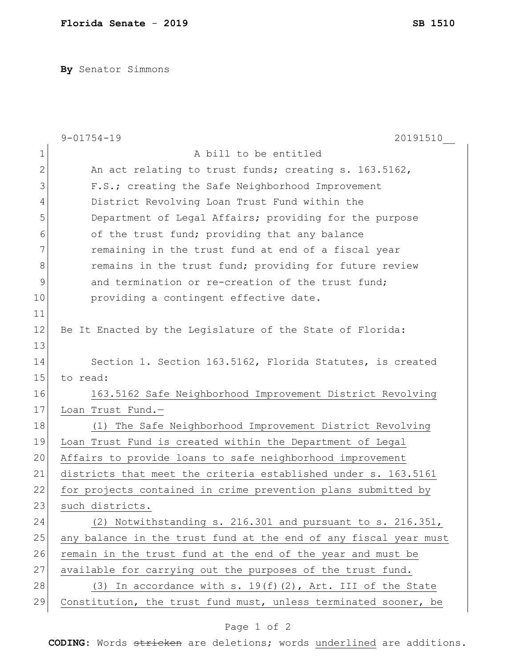**By** Senator Simmons

|               | $9 - 01754 - 19$<br>20191510                                     |
|---------------|------------------------------------------------------------------|
| $\mathbf 1$   | A bill to be entitled                                            |
| $\mathbf{2}$  | An act relating to trust funds; creating s. 163.5162,            |
| 3             | F.S.; creating the Safe Neighborhood Improvement                 |
| 4             | District Revolving Loan Trust Fund within the                    |
| 5             | Department of Legal Affairs; providing for the purpose           |
| 6             | of the trust fund; providing that any balance                    |
| 7             | remaining in the trust fund at end of a fiscal year              |
| 8             | remains in the trust fund; providing for future review           |
| $\mathcal{G}$ | and termination or re-creation of the trust fund;                |
| 10            | providing a contingent effective date.                           |
| 11            |                                                                  |
| 12            | Be It Enacted by the Legislature of the State of Florida:        |
| 13            |                                                                  |
| 14            | Section 1. Section 163.5162, Florida Statutes, is created        |
| 15            | to read:                                                         |
| 16            | 163.5162 Safe Neighborhood Improvement District Revolving        |
| 17            | Loan Trust Fund.-                                                |
| 18            | (1) The Safe Neighborhood Improvement District Revolving         |
| 19            | Loan Trust Fund is created within the Department of Legal        |
| 20            | Affairs to provide loans to safe neighborhood improvement        |
| 21            | districts that meet the criteria established under s. 163.5161   |
| 22            | for projects contained in crime prevention plans submitted by    |
| 23            | such districts                                                   |
| 24            | (2) Notwithstanding s. 216.301 and pursuant to s. 216.351,       |
| 25            | any balance in the trust fund at the end of any fiscal year must |
| 26            | remain in the trust fund at the end of the year and must be      |
| 27            | available for carrying out the purposes of the trust fund.       |
| 28            | (3) In accordance with s. $19(f)(2)$ , Art. III of the State     |
| 29            | Constitution, the trust fund must, unless terminated sooner, be  |

## Page 1 of 2

**CODING**: Words stricken are deletions; words underlined are additions.